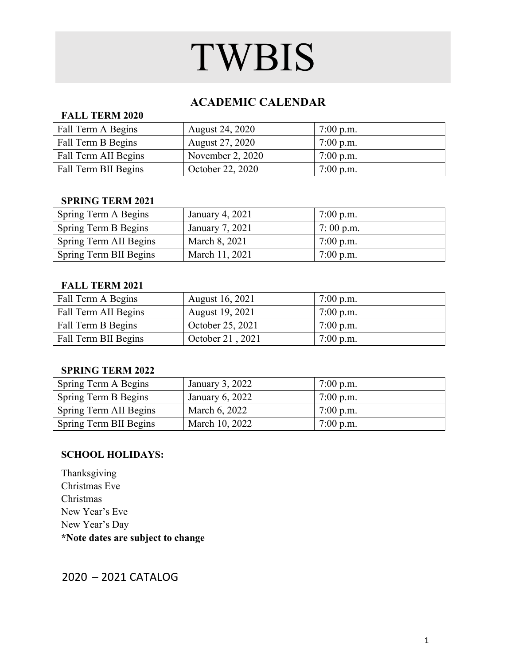### **ACADEMIC CALENDAR**

#### **FALL TERM 2020**

| Fall Term A Begins   | <b>August 24, 2020</b> | $7:00$ p.m. |
|----------------------|------------------------|-------------|
| Fall Term B Begins   | <b>August 27, 2020</b> | $7:00$ p.m. |
| Fall Term AII Begins | November 2, 2020       | $7:00$ p.m. |
| Fall Term BII Begins | October 22, 2020       | $7:00$ p.m. |

#### **SPRING TERM 2021**

| Spring Term A Begins   | January 4, 2021 | $7:00$ p.m. |
|------------------------|-----------------|-------------|
| Spring Term B Begins   | January 7, 2021 | $7:00$ p.m. |
| Spring Term AII Begins | March 8, 2021   | $7:00$ p.m. |
| Spring Term BII Begins | March 11, 2021  | $7:00$ p.m. |

#### **FALL TERM 2021**

| Fall Term A Begins   | <b>August 16, 2021</b> | $7:00$ p.m. |
|----------------------|------------------------|-------------|
| Fall Term AII Begins | <b>August 19, 2021</b> | $7:00$ p.m. |
| Fall Term B Begins   | October 25, 2021       | $7:00$ p.m. |
| Fall Term BII Begins | October 21, 2021       | $7:00$ p.m. |

#### **SPRING TERM 2022**

| Spring Term A Begins   | January 3, $2022$ | $7:00$ p.m. |
|------------------------|-------------------|-------------|
| Spring Term B Begins   | January 6, 2022   | $7:00$ p.m. |
| Spring Term AII Begins | March 6, 2022     | $7:00$ p.m. |
| Spring Term BII Begins | March 10, 2022    | $7:00$ p.m. |

#### **SCHOOL HOLIDAYS:**

Thanksgiving Christmas Eve Christmas New Year's Eve New Year's Day **\*Note dates are subject to change**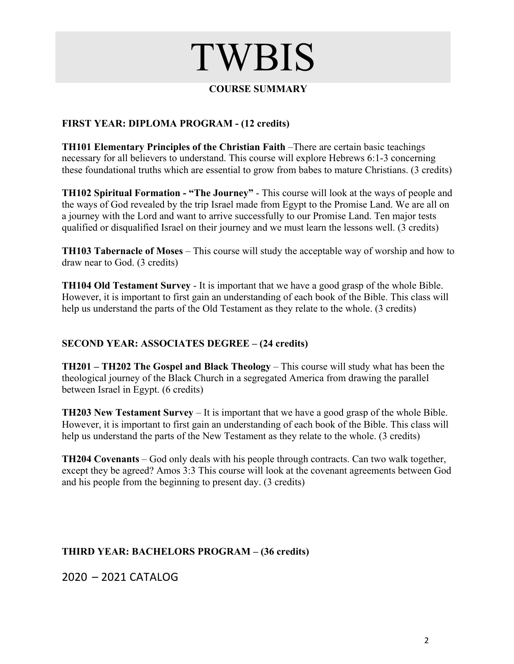#### **COURSE SUMMARY**

#### **FIRST YEAR: DIPLOMA PROGRAM - (12 credits)**

**TH101 Elementary Principles of the Christian Faith** –There are certain basic teachings necessary for all believers to understand. This course will explore Hebrews 6:1-3 concerning these foundational truths which are essential to grow from babes to mature Christians. (3 credits)

**TH102 Spiritual Formation - "The Journey"** - This course will look at the ways of people and the ways of God revealed by the trip Israel made from Egypt to the Promise Land. We are all on a journey with the Lord and want to arrive successfully to our Promise Land. Ten major tests qualified or disqualified Israel on their journey and we must learn the lessons well. (3 credits)

**TH103 Tabernacle of Moses** – This course will study the acceptable way of worship and how to draw near to God. (3 credits)

**TH104 Old Testament Survey** - It is important that we have a good grasp of the whole Bible. However, it is important to first gain an understanding of each book of the Bible. This class will help us understand the parts of the Old Testament as they relate to the whole. (3 credits)

#### **SECOND YEAR: ASSOCIATES DEGREE – (24 credits)**

**TH201 – TH202 The Gospel and Black Theology** – This course will study what has been the theological journey of the Black Church in a segregated America from drawing the parallel between Israel in Egypt. (6 credits)

**TH203 New Testament Survey** – It is important that we have a good grasp of the whole Bible. However, it is important to first gain an understanding of each book of the Bible. This class will help us understand the parts of the New Testament as they relate to the whole. (3 credits)

**TH204 Covenants** – God only deals with his people through contracts. Can two walk together, except they be agreed? Amos 3:3 This course will look at the covenant agreements between God and his people from the beginning to present day. (3 credits)

#### **THIRD YEAR: BACHELORS PROGRAM – (36 credits)**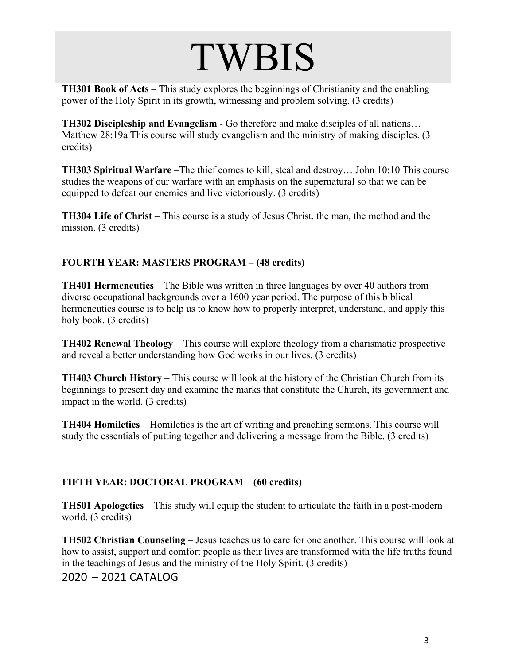**TH301 Book of Acts** – This study explores the beginnings of Christianity and the enabling power of the Holy Spirit in its growth, witnessing and problem solving. (3 credits)

**TH302 Discipleship and Evangelism** - Go therefore and make disciples of all nations… Matthew 28:19a This course will study evangelism and the ministry of making disciples. (3 credits)

**TH303 Spiritual Warfare** –The thief comes to kill, steal and destroy… John 10:10 This course studies the weapons of our warfare with an emphasis on the supernatural so that we can be equipped to defeat our enemies and live victoriously. (3 credits)

**TH304 Life of Christ** – This course is a study of Jesus Christ, the man, the method and the mission. (3 credits)

#### **FOURTH YEAR: MASTERS PROGRAM – (48 credits)**

**TH401 Hermeneutics** – The Bible was written in three languages by over 40 authors from diverse occupational backgrounds over a 1600 year period. The purpose of this biblical hermeneutics course is to help us to know how to properly interpret, understand, and apply this holy book. (3 credits)

**TH402 Renewal Theology** – This course will explore theology from a charismatic prospective and reveal a better understanding how God works in our lives. (3 credits)

**TH403 Church History** – This course will look at the history of the Christian Church from its beginnings to present day and examine the marks that constitute the Church, its government and impact in the world. (3 credits)

**TH404 Homiletics** – Homiletics is the art of writing and preaching sermons. This course will study the essentials of putting together and delivering a message from the Bible. (3 credits)

#### **FIFTH YEAR: DOCTORAL PROGRAM – (60 credits)**

**TH501 Apologetics** – This study will equip the student to articulate the faith in a post-modern world. (3 credits)

**TH502 Christian Counseling** – Jesus teaches us to care for one another. This course will look at how to assist, support and comfort people as their lives are transformed with the life truths found in the teachings of Jesus and the ministry of the Holy Spirit. (3 credits)